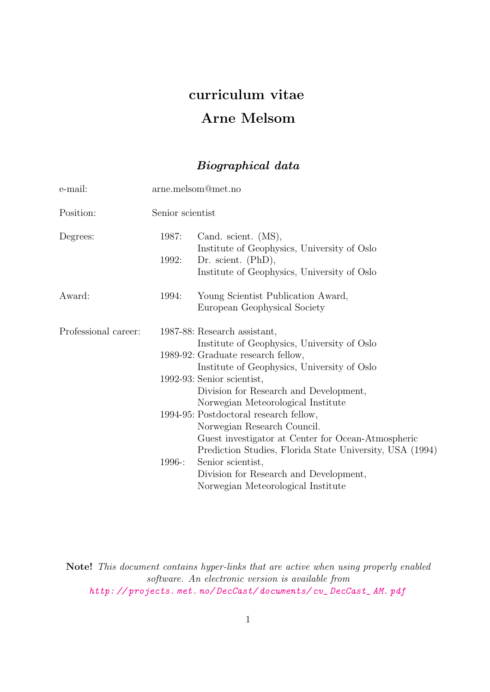# curriculum vitae Arne Melsom

## Biographical data

| e-mail:              | arne.melsom@met.no |                                                                                                                                                                                                                                                                                                                                                                                                                                                                                                                                                                                |
|----------------------|--------------------|--------------------------------------------------------------------------------------------------------------------------------------------------------------------------------------------------------------------------------------------------------------------------------------------------------------------------------------------------------------------------------------------------------------------------------------------------------------------------------------------------------------------------------------------------------------------------------|
| Position:            | Senior scientist   |                                                                                                                                                                                                                                                                                                                                                                                                                                                                                                                                                                                |
| Degrees:             | 1987:<br>1992:     | Cand. scient. (MS),<br>Institute of Geophysics, University of Oslo<br>Dr. scient. $(PhD),$<br>Institute of Geophysics, University of Oslo                                                                                                                                                                                                                                                                                                                                                                                                                                      |
| Award:               | 1994:              | Young Scientist Publication Award,<br>European Geophysical Society                                                                                                                                                                                                                                                                                                                                                                                                                                                                                                             |
| Professional career: | 1996 -:            | 1987-88: Research assistant,<br>Institute of Geophysics, University of Oslo<br>1989-92: Graduate research fellow,<br>Institute of Geophysics, University of Oslo<br>1992-93: Senior scientist,<br>Division for Research and Development,<br>Norwegian Meteorological Institute<br>1994-95: Postdoctoral research fellow,<br>Norwegian Research Council.<br>Guest investigator at Center for Ocean-Atmospheric<br>Prediction Studies, Florida State University, USA (1994)<br>Senior scientist,<br>Division for Research and Development,<br>Norwegian Meteorological Institute |

Note! This document contains hyper-links that are active when using properly enabled software. An electronic version is available from [http: // projects. met. no/ DecCast/ documents/ cv\\_ DecCast\\_ AM. pdf](http://projects.met.no/DecCast/documents/cv_DecCast_AM.pdf)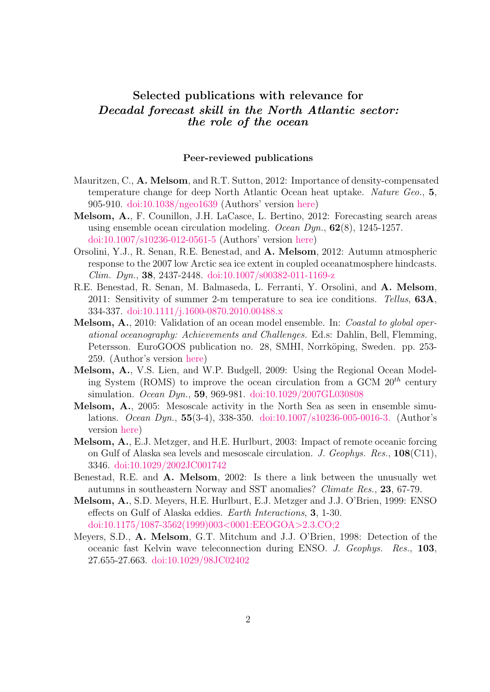### Selected publications with relevance for Decadal forecast skill in the North Atlantic sector: the role of the ocean

#### Peer-reviewed publications

- Mauritzen, C., A. Melsom, and R.T. Sutton, 2012: Importance of density-compensated temperature change for deep North Atlantic Ocean heat uptake. Nature Geo., 5, 905-910. [doi:10.1038/ngeo1639](http://dx.doi.org/10.1038/ngeo1639) (Authors' version [here\)](http://projects.met.no/DecCast/documents/ngeo1639AuthorVersion.pdf)
- Melsom, A., F. Counillon, J.H. LaCasce, L. Bertino, 2012: Forecasting search areas using ensemble ocean circulation modeling. Ocean Dyn.,  $62(8)$ , 1245-1257. [doi:10.1007/s10236-012-0561-5](http://dx.doi.org/10.1007/s10236-012-0561-5) (Authors' version [here\)](http://projects.met.no/DecCast/documents/OD62p1245AuthorVersion.pdf)
- Orsolini, Y.J., R. Senan, R.E. Benestad, and A. Melsom, 2012: Autumn atmospheric response to the 2007 low Arctic sea ice extent in coupled oceanatmosphere hindcasts. Clim. Dyn., 38, 2437-2448. [doi:10.1007/s00382-011-1169-z](http://dx.doi.org/10.1007/s00382-011-1169-z)
- R.E. Benestad, R. Senan, M. Balmaseda, L. Ferranti, Y. Orsolini, and A. Melsom, 2011: Sensitivity of summer 2-m temperature to sea ice conditions. Tellus,  $63A$ , 334-337. [doi:10.1111/j.1600-0870.2010.00488.x](http://dx.doi.org/10.1111/j.1600-0870.2010.00488.x)
- Melsom, A., 2010: Validation of an ocean model ensemble. In: Coastal to global operational oceanography: Achievements and Challenges. Ed.s: Dahlin, Bell, Flemming, Petersson. EuroGOOS publication no. 28, SMHI, Norrköping, Sweden. pp. 253-259. (Author's version [here\)](http://projects.met.no/DecCast/documents/EuroGOOS28p253.pdf)
- Melsom, A., V.S. Lien, and W.P. Budgell, 2009: Using the Regional Ocean Modeling System (ROMS) to improve the ocean circulation from a GCM  $20<sup>th</sup>$  century simulation. Ocean Dyn., 59, 969-981. [doi:10.1029/2007GL030808](http://dx.doi.org/10.1029/2007GL030808)
- Melsom, A., 2005: Mesoscale activity in the North Sea as seen in ensemble simulations. Ocean Dyn., 55(3-4), 338-350. [doi:10.1007/s10236-005-0016-3.](http://dx.doi.org/10.1007/s10236-005-0016-3) (Author's version [here\)](http://projects.met.no/DecCast/documents/OD55p338.pdf)
- Melsom, A., E.J. Metzger, and H.E. Hurlburt, 2003: Impact of remote oceanic forcing on Gulf of Alaska sea levels and mesoscale circulation. J. Geophys. Res.,  $108\,(C11)$ , 3346. [doi:10.1029/2002JC001742](http://dx.doi.org/10.1029/2002JC001742)
- Benestad, R.E. and A. Melsom, 2002: Is there a link between the unusually wet autumns in southeastern Norway and SST anomalies? Climate Res., 23, 67-79.
- Melsom, A., S.D. Meyers, H.E. Hurlburt, E.J. Metzger and J.J. O'Brien, 1999: ENSO effects on Gulf of Alaska eddies. Earth Interactions, 3, 1-30. [doi:10.1175/1087-3562\(1999\)003](http://dx.doi.org/10.1175/1087-3562(1999)003<0001:EEOGOA>2.3.CO;2)<0001:EEOGOA>2.3.CO;2
- Meyers, S.D., A. Melsom, G.T. Mitchum and J.J. O'Brien, 1998: Detection of the oceanic fast Kelvin wave teleconnection during ENSO. J. Geophys. Res., 103, 27.655-27.663. [doi:10.1029/98JC02402](http://dx.doi.org/10.1029/98JC02402)